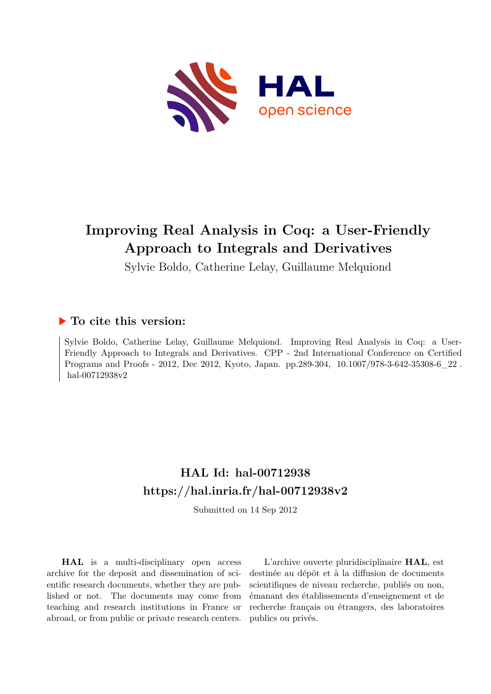

# **Improving Real Analysis in Coq: a User-Friendly Approach to Integrals and Derivatives**

Sylvie Boldo, Catherine Lelay, Guillaume Melquiond

## **To cite this version:**

Sylvie Boldo, Catherine Lelay, Guillaume Melquiond. Improving Real Analysis in Coq: a User-Friendly Approach to Integrals and Derivatives. CPP - 2nd International Conference on Certified Programs and Proofs - 2012, Dec 2012, Kyoto, Japan. pp.289-304, 10.1007/978-3-642-35308-6\_22. hal-00712938v2

# **HAL Id: hal-00712938 <https://hal.inria.fr/hal-00712938v2>**

Submitted on 14 Sep 2012

**HAL** is a multi-disciplinary open access archive for the deposit and dissemination of scientific research documents, whether they are published or not. The documents may come from teaching and research institutions in France or abroad, or from public or private research centers.

L'archive ouverte pluridisciplinaire **HAL**, est destinée au dépôt et à la diffusion de documents scientifiques de niveau recherche, publiés ou non, émanant des établissements d'enseignement et de recherche français ou étrangers, des laboratoires publics ou privés.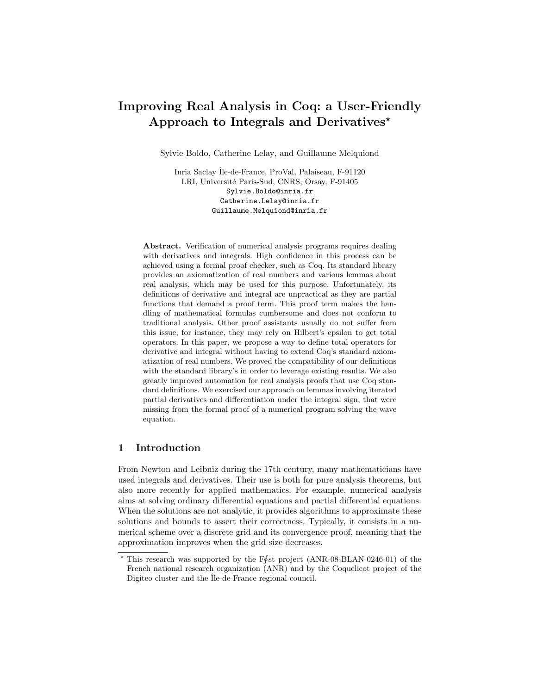## Improving Real Analysis in Coq: a User-Friendly Approach to Integrals and Derivatives<sup> $\star$ </sup>

Sylvie Boldo, Catherine Lelay, and Guillaume Melquiond

Inria Saclay ˆIle-de-France, ProVal, Palaiseau, F-91120 LRI, Université Paris-Sud, CNRS, Orsay, F-91405 Sylvie.Boldo@inria.fr Catherine.Lelay@inria.fr Guillaume.Melquiond@inria.fr

Abstract. Verification of numerical analysis programs requires dealing with derivatives and integrals. High confidence in this process can be achieved using a formal proof checker, such as Coq. Its standard library provides an axiomatization of real numbers and various lemmas about real analysis, which may be used for this purpose. Unfortunately, its definitions of derivative and integral are unpractical as they are partial functions that demand a proof term. This proof term makes the handling of mathematical formulas cumbersome and does not conform to traditional analysis. Other proof assistants usually do not suffer from this issue; for instance, they may rely on Hilbert's epsilon to get total operators. In this paper, we propose a way to define total operators for derivative and integral without having to extend Coq's standard axiomatization of real numbers. We proved the compatibility of our definitions with the standard library's in order to leverage existing results. We also greatly improved automation for real analysis proofs that use Coq standard definitions. We exercised our approach on lemmas involving iterated partial derivatives and differentiation under the integral sign, that were missing from the formal proof of a numerical program solving the wave equation.

## 1 Introduction

From Newton and Leibniz during the 17th century, many mathematicians have used integrals and derivatives. Their use is both for pure analysis theorems, but also more recently for applied mathematics. For example, numerical analysis aims at solving ordinary differential equations and partial differential equations. When the solutions are not analytic, it provides algorithms to approximate these solutions and bounds to assert their correctness. Typically, it consists in a numerical scheme over a discrete grid and its convergence proof, meaning that the approximation improves when the grid size decreases.

<sup>\*</sup> This research was supported by the  $F$ fst project (ANR-08-BLAN-0246-01) of the French national research organization (ANR) and by the Coquelicot project of the Digiteo cluster and the Île-de-France regional council.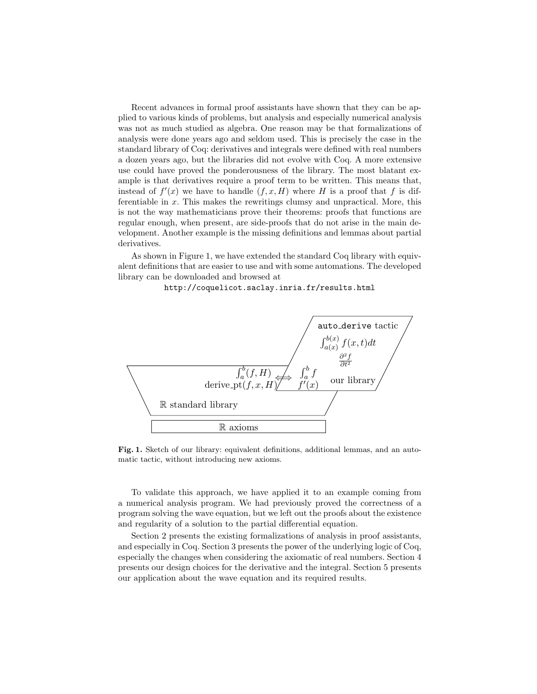Recent advances in formal proof assistants have shown that they can be applied to various kinds of problems, but analysis and especially numerical analysis was not as much studied as algebra. One reason may be that formalizations of analysis were done years ago and seldom used. This is precisely the case in the standard library of Coq: derivatives and integrals were defined with real numbers a dozen years ago, but the libraries did not evolve with Coq. A more extensive use could have proved the ponderousness of the library. The most blatant example is that derivatives require a proof term to be written. This means that, instead of  $f'(x)$  we have to handle  $(f, x, H)$  where H is a proof that f is differentiable in x. This makes the rewritings clumsy and unpractical. More, this is not the way mathematicians prove their theorems: proofs that functions are regular enough, when present, are side-proofs that do not arise in the main development. Another example is the missing definitions and lemmas about partial derivatives.

As shown in Figure 1, we have extended the standard Coq library with equivalent definitions that are easier to use and with some automations. The developed library can be downloaded and browsed at

http://coquelicot.saclay.inria.fr/results.html



Fig. 1. Sketch of our library: equivalent definitions, additional lemmas, and an automatic tactic, without introducing new axioms.

To validate this approach, we have applied it to an example coming from a numerical analysis program. We had previously proved the correctness of a program solving the wave equation, but we left out the proofs about the existence and regularity of a solution to the partial differential equation.

Section 2 presents the existing formalizations of analysis in proof assistants, and especially in Coq. Section 3 presents the power of the underlying logic of Coq, especially the changes when considering the axiomatic of real numbers. Section 4 presents our design choices for the derivative and the integral. Section 5 presents our application about the wave equation and its required results.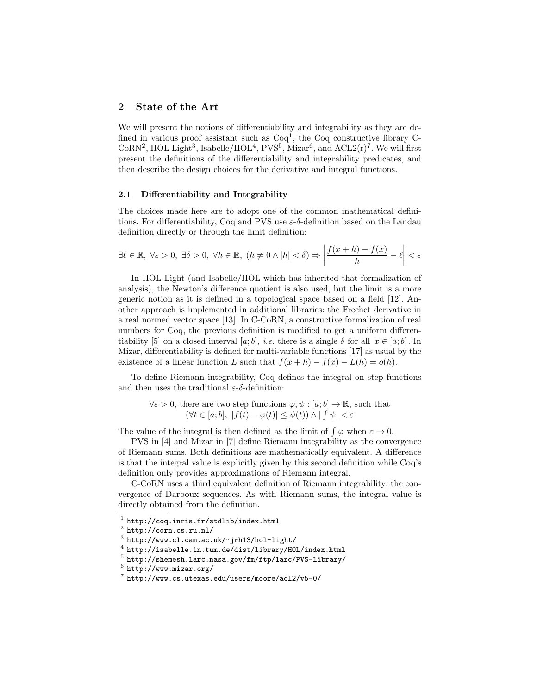## 2 State of the Art

We will present the notions of differentiability and integrability as they are defined in various proof assistant such as  $Coq<sup>1</sup>$ , the  $Coq$  constructive library C-CoRN<sup>2</sup>, HOL Light<sup>3</sup>, Isabelle/HOL<sup>4</sup>, PVS<sup>5</sup>, Mizar<sup>6</sup>, and ACL2(r)<sup>7</sup>. We will first present the definitions of the differentiability and integrability predicates, and then describe the design choices for the derivative and integral functions.

#### 2.1 Differentiability and Integrability

The choices made here are to adopt one of the common mathematical definitions. For differentiability, Coq and PVS use  $\varepsilon$ -δ-definition based on the Landau definition directly or through the limit definition:

$$
\exists \ell \in \mathbb{R}, \ \forall \varepsilon > 0, \ \exists \delta > 0, \ \forall h \in \mathbb{R}, \ (h \neq 0 \land |h| < \delta) \Rightarrow \left| \frac{f(x+h) - f(x)}{h} - \ell \right| < \varepsilon
$$

In HOL Light (and Isabelle/HOL which has inherited that formalization of analysis), the Newton's difference quotient is also used, but the limit is a more generic notion as it is defined in a topological space based on a field [12]. Another approach is implemented in additional libraries: the Frechet derivative in a real normed vector space [13]. In C-CoRN, a constructive formalization of real numbers for Coq, the previous definition is modified to get a uniform differentiability [5] on a closed interval [a; b], i.e. there is a single  $\delta$  for all  $x \in [a, b]$ . In Mizar, differentiability is defined for multi-variable functions [17] as usual by the existence of a linear function L such that  $f(x+h) - f(x) - L(h) = o(h)$ .

To define Riemann integrability, Coq defines the integral on step functions and then uses the traditional  $\varepsilon$ -δ-definition:

$$
\forall \varepsilon > 0, \text{ there are two step functions } \varphi, \psi : [a; b] \to \mathbb{R}, \text{ such that}
$$

$$
(\forall t \in [a; b], |f(t) - \varphi(t)| \le \psi(t)) \land |f \psi| < \varepsilon
$$

The value of the integral is then defined as the limit of  $\int \varphi$  when  $\varepsilon \to 0$ .

PVS in [4] and Mizar in [7] define Riemann integrability as the convergence of Riemann sums. Both definitions are mathematically equivalent. A difference is that the integral value is explicitly given by this second definition while Coq's definition only provides approximations of Riemann integral.

C-CoRN uses a third equivalent definition of Riemann integrability: the convergence of Darboux sequences. As with Riemann sums, the integral value is directly obtained from the definition.

 $^1$  http://coq.inria.fr/stdlib/index.html

<sup>2</sup> http://corn.cs.ru.nl/

<sup>3</sup> http://www.cl.cam.ac.uk/~jrh13/hol-light/

<sup>4</sup> http://isabelle.in.tum.de/dist/library/HOL/index.html

<sup>5</sup> http://shemesh.larc.nasa.gov/fm/ftp/larc/PVS-library/

 $6$  http://www.mizar.org/

<sup>7</sup> http://www.cs.utexas.edu/users/moore/acl2/v5-0/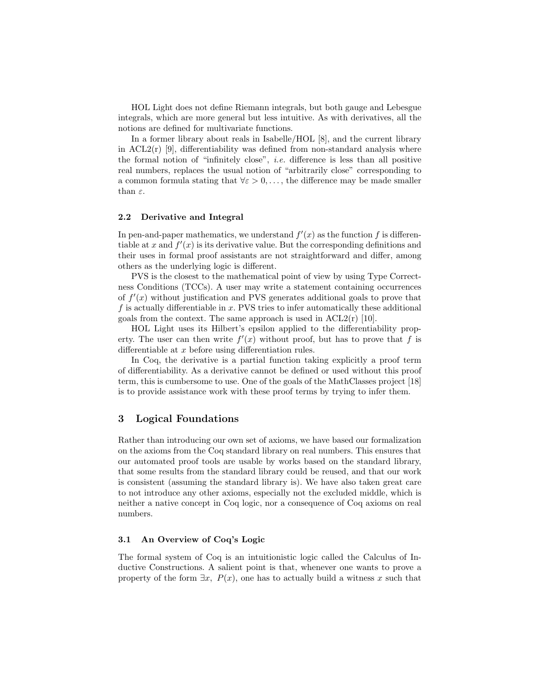HOL Light does not define Riemann integrals, but both gauge and Lebesgue integrals, which are more general but less intuitive. As with derivatives, all the notions are defined for multivariate functions.

In a former library about reals in Isabelle/HOL [8], and the current library in  $ACL2(r)$  [9], differentiability was defined from non-standard analysis where the formal notion of "infinitely close", *i.e.* difference is less than all positive real numbers, replaces the usual notion of "arbitrarily close" corresponding to a common formula stating that  $\forall \varepsilon > 0, \ldots$ , the difference may be made smaller than  $\varepsilon$ .

#### 2.2 Derivative and Integral

In pen-and-paper mathematics, we understand  $f'(x)$  as the function f is differentiable at x and  $f'(x)$  is its derivative value. But the corresponding definitions and their uses in formal proof assistants are not straightforward and differ, among others as the underlying logic is different.

PVS is the closest to the mathematical point of view by using Type Correctness Conditions (TCCs). A user may write a statement containing occurrences of  $f'(x)$  without justification and PVS generates additional goals to prove that  $f$  is actually differentiable in  $x$ . PVS tries to infer automatically these additional goals from the context. The same approach is used in ACL2(r) [10].

HOL Light uses its Hilbert's epsilon applied to the differentiability property. The user can then write  $f'(x)$  without proof, but has to prove that f is differentiable at x before using differentiation rules.

In Coq, the derivative is a partial function taking explicitly a proof term of differentiability. As a derivative cannot be defined or used without this proof term, this is cumbersome to use. One of the goals of the MathClasses project [18] is to provide assistance work with these proof terms by trying to infer them.

## 3 Logical Foundations

Rather than introducing our own set of axioms, we have based our formalization on the axioms from the Coq standard library on real numbers. This ensures that our automated proof tools are usable by works based on the standard library, that some results from the standard library could be reused, and that our work is consistent (assuming the standard library is). We have also taken great care to not introduce any other axioms, especially not the excluded middle, which is neither a native concept in Coq logic, nor a consequence of Coq axioms on real numbers.

## 3.1 An Overview of Coq's Logic

The formal system of Coq is an intuitionistic logic called the Calculus of Inductive Constructions. A salient point is that, whenever one wants to prove a property of the form  $\exists x, P(x)$ , one has to actually build a witness x such that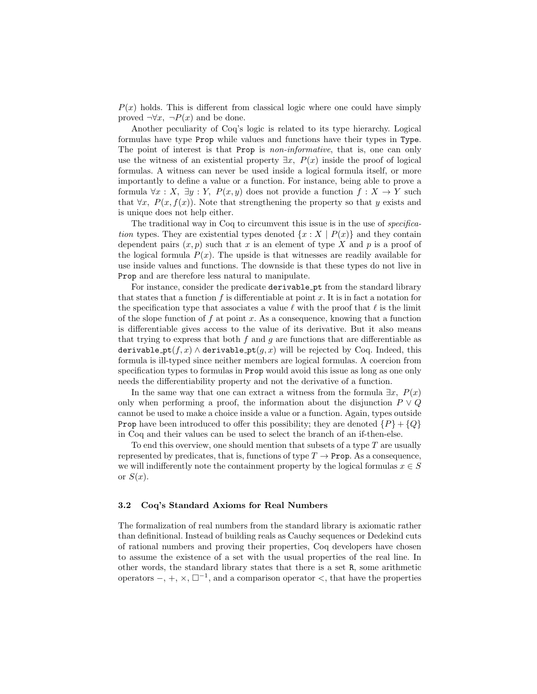$P(x)$  holds. This is different from classical logic where one could have simply proved  $\neg \forall x, \neg P(x)$  and be done.

Another peculiarity of Coq's logic is related to its type hierarchy. Logical formulas have type Prop while values and functions have their types in Type. The point of interest is that Prop is *non-informative*, that is, one can only use the witness of an existential property  $\exists x, P(x)$  inside the proof of logical formulas. A witness can never be used inside a logical formula itself, or more importantly to define a value or a function. For instance, being able to prove a formula  $\forall x : X, \exists y : Y, P(x, y)$  does not provide a function  $f : X \to Y$  such that  $\forall x, P(x, f(x))$ . Note that strengthening the property so that y exists and is unique does not help either.

The traditional way in Coq to circumvent this issue is in the use of *specifica*tion types. They are existential types denoted  $\{x : X \mid P(x)\}\$  and they contain dependent pairs  $(x, p)$  such that x is an element of type X and p is a proof of the logical formula  $P(x)$ . The upside is that witnesses are readily available for use inside values and functions. The downside is that these types do not live in Prop and are therefore less natural to manipulate.

For instance, consider the predicate derivable pt from the standard library that states that a function  $f$  is differentiable at point  $x$ . It is in fact a notation for the specification type that associates a value  $\ell$  with the proof that  $\ell$  is the limit of the slope function of  $f$  at point  $x$ . As a consequence, knowing that a function is differentiable gives access to the value of its derivative. But it also means that trying to express that both  $f$  and  $g$  are functions that are differentiable as derivable  $\text{pt}(f, x) \wedge \text{derivable\_pt}(g, x)$  will be rejected by Coq. Indeed, this formula is ill-typed since neither members are logical formulas. A coercion from specification types to formulas in Prop would avoid this issue as long as one only needs the differentiability property and not the derivative of a function.

In the same way that one can extract a witness from the formula  $\exists x, P(x)$ only when performing a proof, the information about the disjunction  $P \vee Q$ cannot be used to make a choice inside a value or a function. Again, types outside **Prop** have been introduced to offer this possibility; they are denoted  $\{P\} + \{Q\}$ in Coq and their values can be used to select the branch of an if-then-else.

To end this overview, one should mention that subsets of a type  $T$  are usually represented by predicates, that is, functions of type  $T \to \text{Prop.}$  As a consequence, we will indifferently note the containment property by the logical formulas  $x \in S$ or  $S(x)$ .

#### 3.2 Coq's Standard Axioms for Real Numbers

The formalization of real numbers from the standard library is axiomatic rather than definitional. Instead of building reals as Cauchy sequences or Dedekind cuts of rational numbers and proving their properties, Coq developers have chosen to assume the existence of a set with the usual properties of the real line. In other words, the standard library states that there is a set R, some arithmetic operators  $-, +, \times, \square^{-1}$ , and a comparison operator  $\lt$ , that have the properties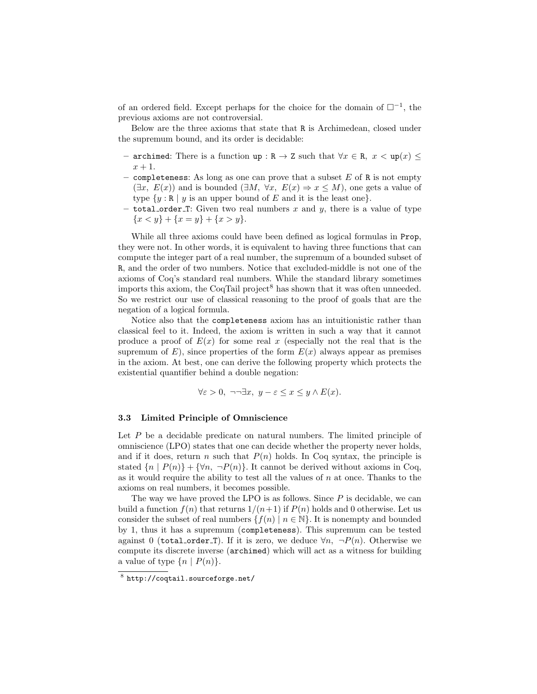of an ordered field. Except perhaps for the choice for the domain of  $\Box^{-1}$ , the previous axioms are not controversial.

Below are the three axioms that state that R is Archimedean, closed under the supremum bound, and its order is decidable:

- archimed: There is a function up : R  $\rightarrow$  Z such that  $\forall x \in R$ ,  $x <$  up(x)  $\le$  $x+1$ .
- completeness: As long as one can prove that a subset  $E$  of  $R$  is not empty  $(\exists x, E(x))$  and is bounded  $(\exists M, \forall x, E(x) \Rightarrow x \leq M)$ , one gets a value of type  $\{y : \mathbb{R} \mid y \text{ is an upper bound of } E \text{ and it is the least one}\}.$
- total order T: Given two real numbers x and y, there is a value of type  ${x < y} + {x = y} + {x > y}.$

While all three axioms could have been defined as logical formulas in Prop, they were not. In other words, it is equivalent to having three functions that can compute the integer part of a real number, the supremum of a bounded subset of R, and the order of two numbers. Notice that excluded-middle is not one of the axioms of Coq's standard real numbers. While the standard library sometimes imports this axiom, the CoqTail project<sup>8</sup> has shown that it was often unneeded. So we restrict our use of classical reasoning to the proof of goals that are the negation of a logical formula.

Notice also that the completeness axiom has an intuitionistic rather than classical feel to it. Indeed, the axiom is written in such a way that it cannot produce a proof of  $E(x)$  for some real x (especially not the real that is the supremum of  $E$ ), since properties of the form  $E(x)$  always appear as premises in the axiom. At best, one can derive the following property which protects the existential quantifier behind a double negation:

$$
\forall \varepsilon > 0, \ \neg \neg \exists x, \ y - \varepsilon \le x \le y \land E(x).
$$

#### 3.3 Limited Principle of Omniscience

Let  $P$  be a decidable predicate on natural numbers. The limited principle of omniscience (LPO) states that one can decide whether the property never holds, and if it does, return n such that  $P(n)$  holds. In Coq syntax, the principle is stated  $\{n \mid P(n)\} + \{\forall n, \neg P(n)\}\$ . It cannot be derived without axioms in Coq, as it would require the ability to test all the values of  $n$  at once. Thanks to the axioms on real numbers, it becomes possible.

The way we have proved the LPO is as follows. Since  $P$  is decidable, we can build a function  $f(n)$  that returns  $1/(n+1)$  if  $P(n)$  holds and 0 otherwise. Let us consider the subset of real numbers  $\{f(n) | n \in \mathbb{N}\}\.$  It is nonempty and bounded by 1, thus it has a supremum (completeness). This supremum can be tested against 0 (total order T). If it is zero, we deduce  $\forall n, \neg P(n)$ . Otherwise we compute its discrete inverse (archimed) which will act as a witness for building a value of type  $\{n \mid P(n)\}.$ 

<sup>8</sup> http://coqtail.sourceforge.net/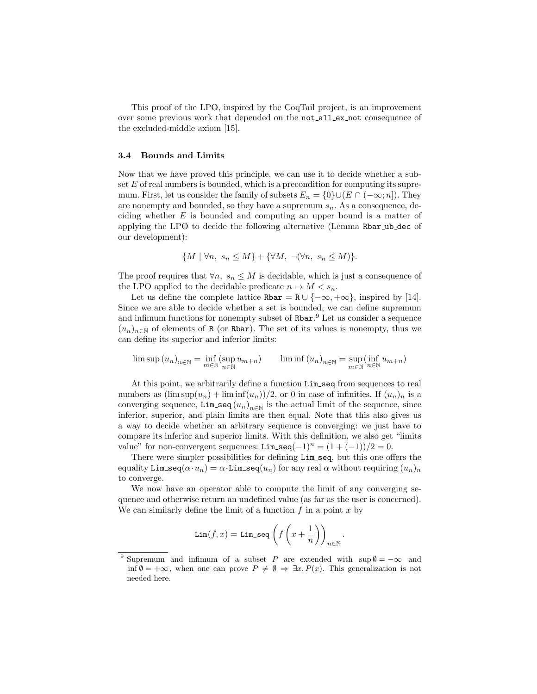This proof of the LPO, inspired by the CoqTail project, is an improvement over some previous work that depended on the not all ex not consequence of the excluded-middle axiom [15].

#### 3.4 Bounds and Limits

Now that we have proved this principle, we can use it to decide whether a subset  $E$  of real numbers is bounded, which is a precondition for computing its supremum. First, let us consider the family of subsets  $E_n = \{0\} \cup (E \cap (-\infty; n])$ . They are nonempty and bounded, so they have a supremum  $s_n$ . As a consequence, deciding whether  $E$  is bounded and computing an upper bound is a matter of applying the LPO to decide the following alternative (Lemma Rbar\_ub\_dec of our development):

$$
\{M \mid \forall n, s_n \le M\} + \{\forall M, \ \neg(\forall n, s_n \le M)\}.
$$

The proof requires that  $\forall n, s_n \leq M$  is decidable, which is just a consequence of the LPO applied to the decidable predicate  $n \mapsto M < s_n$ .

Let us define the complete lattice  $Rbar = R \cup \{-\infty, +\infty\}$ , inspired by [14]. Since we are able to decide whether a set is bounded, we can define supremum and infimum functions for nonempty subset of Rbar.<sup>9</sup> Let us consider a sequence  $(u_n)_{n\in\mathbb{N}}$  of elements of R (or Rbar). The set of its values is nonempty, thus we can define its superior and inferior limits:

$$
\limsup (u_n)_{n \in \mathbb{N}} = \inf_{m \in \mathbb{N}} (\sup_{n \in \mathbb{N}} u_{m+n}) \qquad \liminf (u_n)_{n \in \mathbb{N}} = \sup_{m \in \mathbb{N}} (\inf_{n \in \mathbb{N}} u_{m+n})
$$

At this point, we arbitrarily define a function Lim seq from sequences to real numbers as  $(\limsup(u_n) + \liminf(u_n))/2$ , or 0 in case of infinities. If  $(u_n)_n$  is a converging sequence,  $\text{Lim\_seq}(u_n)_{n \in \mathbb{N}}$  is the actual limit of the sequence, since inferior, superior, and plain limits are then equal. Note that this also gives us a way to decide whether an arbitrary sequence is converging: we just have to compare its inferior and superior limits. With this definition, we also get "limits value" for non-convergent sequences: Lim\_seq $(-1)^n = (1 + (-1))/2 = 0$ .

There were simpler possibilities for defining Lim\_seq, but this one offers the equality Lim  $\text{seq}(\alpha \cdot u_n) = \alpha \cdot \text{Lim} \cdot \text{seq}(u_n)$  for any real  $\alpha$  without requiring  $(u_n)_n$ to converge.

We now have an operator able to compute the limit of any converging sequence and otherwise return an undefined value (as far as the user is concerned). We can similarly define the limit of a function  $f$  in a point  $x$  by

$$
\text{Lim}(f,x)=\text{Lim\_seq}\left(f\left(x+\frac{1}{n}\right)\right)_{n\in\mathbb{N}}
$$

.

<sup>&</sup>lt;sup>9</sup> Supremum and infimum of a subset P are extended with  $\sup \emptyset = -\infty$  and inf  $\emptyset = +\infty$ , when one can prove  $P \neq \emptyset \Rightarrow \exists x, P(x)$ . This generalization is not needed here.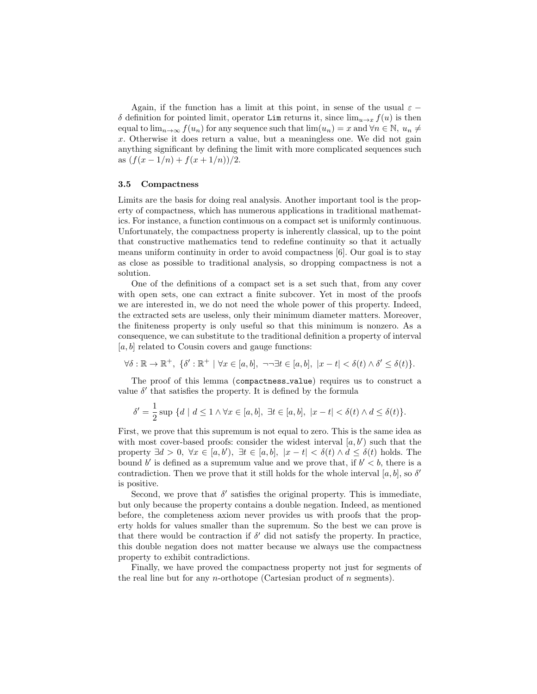Again, if the function has a limit at this point, in sense of the usual  $\varepsilon$  − δ definition for pointed limit, operator Lim returns it, since  $\lim_{u\to x} f(u)$  is then equal to  $\lim_{n\to\infty} f(u_n)$  for any sequence such that  $\lim(u_n) = x$  and  $\forall n \in \mathbb{N}, u_n \neq 0$ x. Otherwise it does return a value, but a meaningless one. We did not gain anything significant by defining the limit with more complicated sequences such as  $(f(x-1/n) + f(x+1/n))/2$ .

#### 3.5 Compactness

Limits are the basis for doing real analysis. Another important tool is the property of compactness, which has numerous applications in traditional mathematics. For instance, a function continuous on a compact set is uniformly continuous. Unfortunately, the compactness property is inherently classical, up to the point that constructive mathematics tend to redefine continuity so that it actually means uniform continuity in order to avoid compactness [6]. Our goal is to stay as close as possible to traditional analysis, so dropping compactness is not a solution.

One of the definitions of a compact set is a set such that, from any cover with open sets, one can extract a finite subcover. Yet in most of the proofs we are interested in, we do not need the whole power of this property. Indeed, the extracted sets are useless, only their minimum diameter matters. Moreover, the finiteness property is only useful so that this minimum is nonzero. As a consequence, we can substitute to the traditional definition a property of interval  $[a, b]$  related to Cousin covers and gauge functions:

$$
\forall \delta : \mathbb{R} \to \mathbb{R}^+, \ \{\delta' : \mathbb{R}^+ \mid \forall x \in [a, b], \ \neg \neg \exists t \in [a, b], \ |x - t| < \delta(t) \land \delta' \leq \delta(t)\}.
$$

The proof of this lemma (compactness value) requires us to construct a value  $\delta'$  that satisfies the property. It is defined by the formula

$$
\delta' = \frac{1}{2} \sup \{ d \mid d \le 1 \land \forall x \in [a, b], \exists t \in [a, b], \ |x - t| < \delta(t) \land d \le \delta(t) \}.
$$

First, we prove that this supremum is not equal to zero. This is the same idea as with most cover-based proofs: consider the widest interval  $[a, b']$  such that the property  $\exists d > 0, \ \forall x \in [a, b'), \ \exists t \in [a, b], \ |x - t| < \delta(t) \wedge d \leq \delta(t)$  holds. The bound b' is defined as a supremum value and we prove that, if  $b' < b$ , there is a contradiction. Then we prove that it still holds for the whole interval  $[a, b]$ , so  $\delta'$ is positive.

Second, we prove that  $\delta'$  satisfies the original property. This is immediate, but only because the property contains a double negation. Indeed, as mentioned before, the completeness axiom never provides us with proofs that the property holds for values smaller than the supremum. So the best we can prove is that there would be contraction if  $\delta'$  did not satisfy the property. In practice, this double negation does not matter because we always use the compactness property to exhibit contradictions.

Finally, we have proved the compactness property not just for segments of the real line but for any *n*-orthotope (Cartesian product of *n* segments).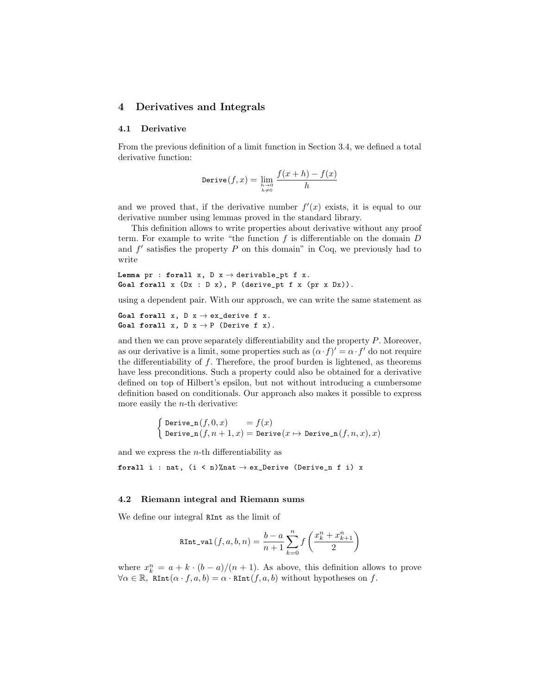### 4 Derivatives and Integrals

#### 4.1 Derivative

From the previous definition of a limit function in Section 3.4, we defined a total derivative function:

Derive
$$
(f, x) = \lim_{h \to 0 \atop h \neq 0} \frac{f(x+h) - f(x)}{h}
$$

and we proved that, if the derivative number  $f'(x)$  exists, it is equal to our derivative number using lemmas proved in the standard library.

This definition allows to write properties about derivative without any proof term. For example to write "the function  $f$  is differentiable on the domain  $D$ and  $f'$  satisfies the property  $P$  on this domain" in Coq, we previously had to write

```
Lemma pr : forall x, D x \rightarrow derivable_pt f x.
Goal forall x (Dx : D x), P (derive_pt f x (pr x Dx)).
```
using a dependent pair. With our approach, we can write the same statement as

```
Goal forall x, D x \rightarrow ex_{-}derive f x.
Goal forall x, D x \rightarrow P (Derive f x).
```
and then we can prove separately differentiability and the property P. Moreover, as our derivative is a limit, some properties such as  $(\alpha \cdot f)' = \alpha \cdot f'$  do not require the differentiability of  $f$ . Therefore, the proof burden is lightened, as theorems have less preconditions. Such a property could also be obtained for a derivative defined on top of Hilbert's epsilon, but not without introducing a cumbersome definition based on conditionals. Our approach also makes it possible to express more easily the  $n$ -th derivative:

$$
\left\{\begin{array}{l} \texttt{Derive\_{}n}(f,0,x) \qquad \ \ =f(x) \\ \texttt{Derive\_{}n}(f,n+1,x) =\texttt{Derive}(x \mapsto \texttt{Derive\_{}n}(f,n,x),x) \end{array}\right.
$$

and we express the  $n$ -th differentiability as

forall i : nat,  $(i < n)$ %nat  $\rightarrow$  ex\_Derive (Derive\_n f i) x

#### 4.2 Riemann integral and Riemann sums

We define our integral RInt as the limit of

$$
\text{RInt\_val}\left(f,a,b,n\right)=\frac{b-a}{n+1}\sum_{k=0}^{n}f\left(\frac{x_k^n+x_{k+1}^n}{2}\right)
$$

where  $x_k^n = a + k \cdot (b - a)/(n + 1)$ . As above, this definition allows to prove  $\forall \alpha \in \mathbb{R}$ , RInt $(\alpha \cdot f, a, b) = \alpha \cdot$ RInt $(f, a, b)$  without hypotheses on f.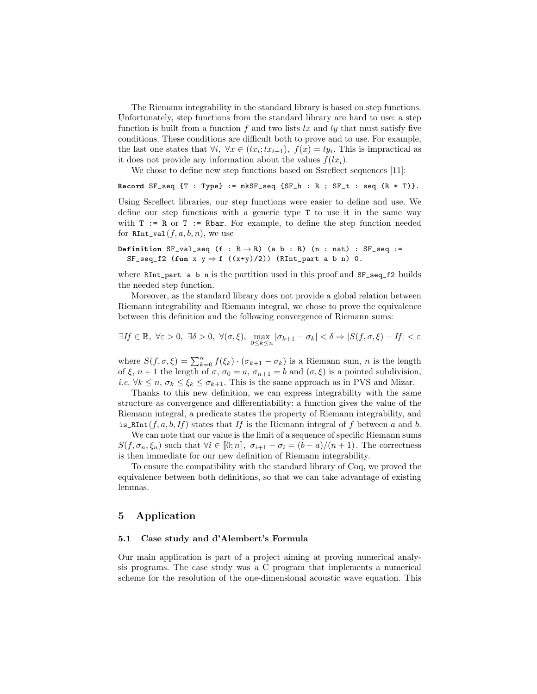The Riemann integrability in the standard library is based on step functions. Unfortunately, step functions from the standard library are hard to use: a step function is built from a function f and two lists  $lx$  and  $ly$  that must satisfy five conditions. These conditions are difficult both to prove and to use. For example, the last one states that  $\forall i, \forall x \in (lx_i; lx_{i+1}), f(x) = ly_i$ . This is impractical as it does not provide any information about the values  $f(lx_i)$ .

We chose to define new step functions based on Ssreflect sequences [11]:

Record SF\_seq  ${T : Type} := mkSF\_seq$   ${SF\_h : R ; SF\_t : seq (R * T)}$ .

Using Ssreflect libraries, our step functions were easier to define and use. We define our step functions with a generic type T to use it in the same way with  $T := R$  or  $T := Rbar$ . For example, to define the step function needed for RInt\_val( $f, a, b, n$ ), we use

```
Definition SF_val_seq (f : R \rightarrow R) (a b : R) (n : nat) : SF_seq :=
  SF_seq_f2 (fun x y \Rightarrow f ((x+y)/2)) (RInt_part a b n) 0.
```
where RInt\_part a b n is the partition used in this proof and  $SF\_seq_12$  builds the needed step function.

Moreover, as the standard library does not provide a global relation between Riemann integrability and Riemann integral, we chose to prove the equivalence between this definition and the following convergence of Riemann sums:

$$
\exists If\in\mathbb{R},\ \forall \varepsilon>0,\ \exists \delta>0,\ \forall (\sigma,\xi),\ \max_{0\leq k\leq n}|\sigma_{k+1}-\sigma_k|<\delta\Rightarrow |S(f,\sigma,\xi)-If|<\varepsilon
$$

where  $S(f, \sigma, \xi) = \sum_{k=0}^{n} f(\xi_k) \cdot (\sigma_{k+1} - \sigma_k)$  is a Riemann sum, n is the length of  $\xi$ ,  $n+1$  the length of  $\sigma$ ,  $\sigma_0 = a$ ,  $\sigma_{n+1} = b$  and  $(\sigma, \xi)$  is a pointed subdivision, *i.e.*  $\forall k \leq n, \sigma_k \leq \xi_k \leq \sigma_{k+1}$ . This is the same approach as in PVS and Mizar.

Thanks to this new definition, we can express integrability with the same structure as convergence and differentiability: a function gives the value of the Riemann integral, a predicate states the property of Riemann integrability, and is\_RInt $(f, a, b, If)$  states that If is the Riemann integral of f between a and b.

We can note that our value is the limit of a sequence of specific Riemann sums  $S(f, \sigma_n, \xi_n)$  such that  $\forall i \in [0; n], \ \sigma_{i+1} - \sigma_i = (b - a)/(n + 1)$ . The correctness is then immediate for our new definition of Riemann integrability.

To ensure the compatibility with the standard library of Coq, we proved the equivalence between both definitions, so that we can take advantage of existing lemmas.

## 5 Application

## 5.1 Case study and d'Alembert's Formula

Our main application is part of a project aiming at proving numerical analysis programs. The case study was a C program that implements a numerical scheme for the resolution of the one-dimensional acoustic wave equation. This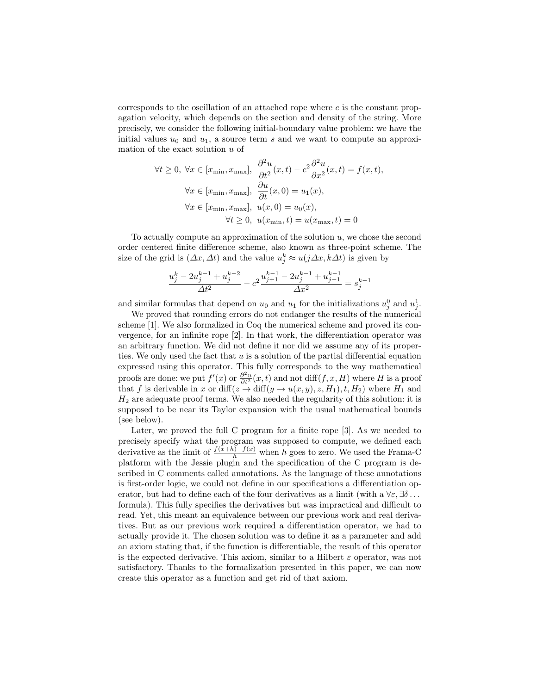corresponds to the oscillation of an attached rope where  $c$  is the constant propagation velocity, which depends on the section and density of the string. More precisely, we consider the following initial-boundary value problem: we have the initial values  $u_0$  and  $u_1$ , a source term s and we want to compute an approximation of the exact solution  $u$  of

$$
\forall t \ge 0, \ \forall x \in [x_{\min}, x_{\max}], \ \frac{\partial^2 u}{\partial t^2}(x, t) - c^2 \frac{\partial^2 u}{\partial x^2}(x, t) = f(x, t),
$$

$$
\forall x \in [x_{\min}, x_{\max}], \ \frac{\partial u}{\partial t}(x, 0) = u_1(x),
$$

$$
\forall x \in [x_{\min}, x_{\max}], \ u(x, 0) = u_0(x),
$$

$$
\forall t \ge 0, \ u(x_{\min}, t) = u(x_{\max}, t) = 0
$$

To actually compute an approximation of the solution  $u$ , we chose the second order centered finite difference scheme, also known as three-point scheme. The size of the grid is  $(\Delta x, \Delta t)$  and the value  $u_j^k \approx u(j\Delta x, k\Delta t)$  is given by

$$
\frac{u_j^k - 2u_j^{k-1} + u_j^{k-2}}{\varDelta t^2} - c^2 \frac{u_{j+1}^{k-1} - 2u_j^{k-1} + u_{j-1}^{k-1}}{\varDelta x^2} = s_j^{k-1}
$$

and similar formulas that depend on  $u_0$  and  $u_1$  for the initializations  $u_j^0$  and  $u_j^1$ .

We proved that rounding errors do not endanger the results of the numerical scheme [1]. We also formalized in Coq the numerical scheme and proved its convergence, for an infinite rope [2]. In that work, the differentiation operator was an arbitrary function. We did not define it nor did we assume any of its properties. We only used the fact that  $u$  is a solution of the partial differential equation expressed using this operator. This fully corresponds to the way mathematical proofs are done: we put  $f'(x)$  or  $\frac{\partial^2 u}{\partial t^2}(x,t)$  and not diff $(f, x, H)$  where H is a proof that f is derivable in x or diff( $z \rightarrow diff(y \rightarrow u(x, y), z, H_1), t, H_2$ ) where  $H_1$  and  $H_2$  are adequate proof terms. We also needed the regularity of this solution: it is supposed to be near its Taylor expansion with the usual mathematical bounds (see below).

Later, we proved the full C program for a finite rope [3]. As we needed to precisely specify what the program was supposed to compute, we defined each derivative as the limit of  $\frac{f(x+h)-f(x)}{h}$  when h goes to zero. We used the Frama-C platform with the Jessie plugin and the specification of the C program is described in C comments called annotations. As the language of these annotations is first-order logic, we could not define in our specifications a differentiation operator, but had to define each of the four derivatives as a limit (with a  $\forall \varepsilon, \exists \delta \dots$ formula). This fully specifies the derivatives but was impractical and difficult to read. Yet, this meant an equivalence between our previous work and real derivatives. But as our previous work required a differentiation operator, we had to actually provide it. The chosen solution was to define it as a parameter and add an axiom stating that, if the function is differentiable, the result of this operator is the expected derivative. This axiom, similar to a Hilbert  $\varepsilon$  operator, was not satisfactory. Thanks to the formalization presented in this paper, we can now create this operator as a function and get rid of that axiom.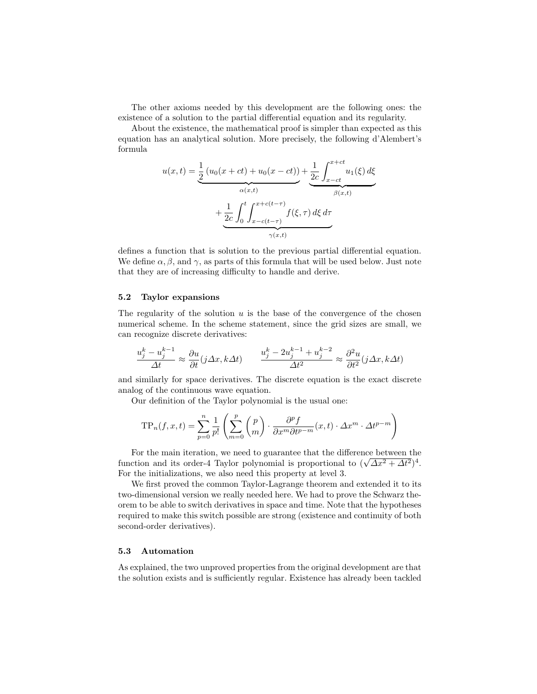The other axioms needed by this development are the following ones: the existence of a solution to the partial differential equation and its regularity.

About the existence, the mathematical proof is simpler than expected as this equation has an analytical solution. More precisely, the following d'Alembert's formula

$$
u(x,t) = \underbrace{\frac{1}{2} (u_0(x+ct) + u_0(x-ct))}_{\alpha(x,t)} + \underbrace{\frac{1}{2c} \int_{x-ct}^{x+ct} u_1(\xi) d\xi}_{\beta(x,t)}
$$

$$
+ \underbrace{\frac{1}{2c} \int_0^t \int_{x-c(t-\tau)}^{x+c(t-\tau)} f(\xi, \tau) d\xi d\tau}_{\gamma(x,t)}
$$

defines a function that is solution to the previous partial differential equation. We define  $\alpha, \beta$ , and  $\gamma$ , as parts of this formula that will be used below. Just note that they are of increasing difficulty to handle and derive.

#### 5.2 Taylor expansions

The regularity of the solution  $u$  is the base of the convergence of the chosen numerical scheme. In the scheme statement, since the grid sizes are small, we can recognize discrete derivatives:

$$
\frac{u_j^k - u_j^{k-1}}{\Delta t} \approx \frac{\partial u}{\partial t}(j\Delta x, k\Delta t) \qquad \frac{u_j^k - 2u_j^{k-1} + u_j^{k-2}}{\Delta t^2} \approx \frac{\partial^2 u}{\partial t^2}(j\Delta x, k\Delta t)
$$

and similarly for space derivatives. The discrete equation is the exact discrete analog of the continuous wave equation.

Our definition of the Taylor polynomial is the usual one:

$$
\text{TP}_n(f, x, t) = \sum_{p=0}^n \frac{1}{p!} \left( \sum_{m=0}^p \binom{p}{m} \cdot \frac{\partial^p f}{\partial x^m \partial t^{p-m}}(x, t) \cdot \Delta x^m \cdot \Delta t^{p-m} \right)
$$

For the main iteration, we need to guarantee that the difference between the function and its order-4 Taylor polynomial is proportional to  $(\sqrt{\Delta x^2 + \Delta t^2})^4$ . For the initializations, we also need this property at level 3.

We first proved the common Taylor-Lagrange theorem and extended it to its two-dimensional version we really needed here. We had to prove the Schwarz theorem to be able to switch derivatives in space and time. Note that the hypotheses required to make this switch possible are strong (existence and continuity of both second-order derivatives).

#### 5.3 Automation

As explained, the two unproved properties from the original development are that the solution exists and is sufficiently regular. Existence has already been tackled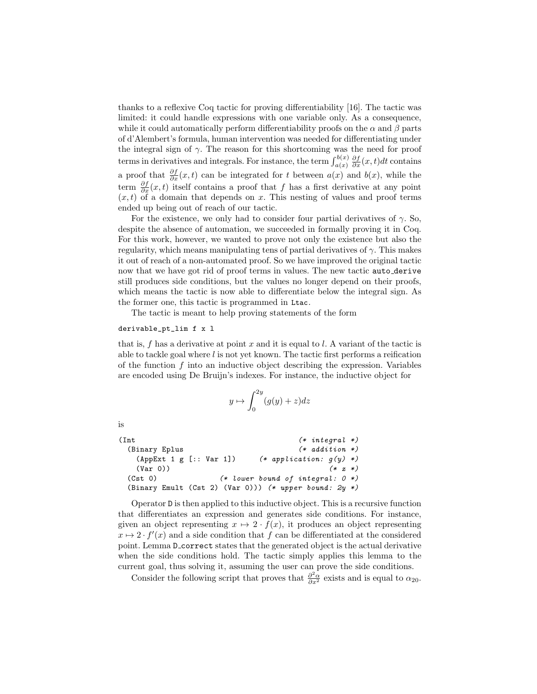thanks to a reflexive Coq tactic for proving differentiability  $[16]$ . The tactic was limited: it could handle expressions with one variable only. As a consequence, while it could automatically perform differentiability proofs on the  $\alpha$  and  $\beta$  parts of d'Alembert's formula, human intervention was needed for differentiating under the integral sign of  $\gamma$ . The reason for this shortcoming was the need for proof terms in derivatives and integrals. For instance, the term  $\int_{a(x)}^{b(x)} \frac{\partial f}{\partial x}(x, t) dt$  contains a proof that  $\frac{\partial f}{\partial x}(x,t)$  can be integrated for t between  $a(x)$  and  $b(x)$ , while the term  $\frac{\partial f}{\partial x}(x,t)$  itself contains a proof that f has a first derivative at any point  $(x, t)$  of a domain that depends on x. This nesting of values and proof terms ended up being out of reach of our tactic.

For the existence, we only had to consider four partial derivatives of  $\gamma$ . So, despite the absence of automation, we succeeded in formally proving it in Coq. For this work, however, we wanted to prove not only the existence but also the regularity, which means manipulating tens of partial derivatives of  $\gamma$ . This makes it out of reach of a non-automated proof. So we have improved the original tactic now that we have got rid of proof terms in values. The new tactic auto\_derive still produces side conditions, but the values no longer depend on their proofs, which means the tactic is now able to differentiate below the integral sign. As the former one, this tactic is programmed in Ltac.

The tactic is meant to help proving statements of the form

#### derivable\_pt\_lim f x l

is

that is, f has a derivative at point x and it is equal to l. A variant of the tactic is able to tackle goal where  $l$  is not yet known. The tactic first performs a reification of the function  $f$  into an inductive object describing the expression. Variables are encoded using De Bruijn's indexes. For instance, the inductive object for

$$
y \mapsto \int_0^{2y} (g(y) + z) dz
$$

```
(int (* integral *)(Binary Eplus (*) addition *)
  (AppExt 1 g [:: Var 1]) (*) (* application: g(y) *)
  (Var 0)) (* z * )(Cst 0) (*) (* lower bound of integral: 0 *)
 (Binary Emult (Cst 2) (Var 0))) (* upper bound: 2y *)
```
Operator D is then applied to this inductive object. This is a recursive function that differentiates an expression and generates side conditions. For instance, given an object representing  $x \mapsto 2 \cdot f(x)$ , it produces an object representing  $x \mapsto 2 \cdot f'(x)$  and a side condition that f can be differentiated at the considered point. Lemma D correct states that the generated object is the actual derivative when the side conditions hold. The tactic simply applies this lemma to the current goal, thus solving it, assuming the user can prove the side conditions.

Consider the following script that proves that  $\frac{\partial^2 \hat{\alpha}}{\partial x^2}$  exists and is equal to  $\alpha_{20}$ .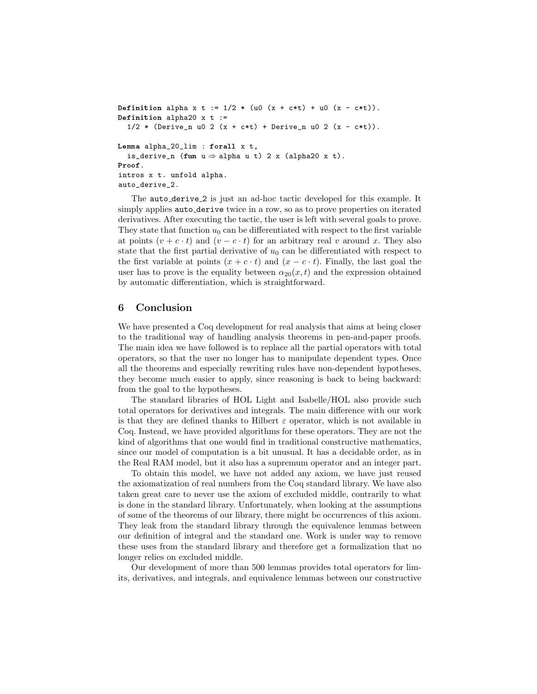```
Definition alpha x t := 1/2 * (u0 (x + c*t) + u0 (x - c*t)).
Definition alpha20 x t :=
  1/2 * (Derive_n u0 2 (x + c*t) + Derive_n u0 2 (x - c*t)).
Lemma alpha_20_lim : forall x t,
  is_derive_n (fun u \Rightarrow alpha u t) 2 x (alpha20 x t).
Proof.
intros x t. unfold alpha.
auto_derive_2.
```
The auto derive 2 is just an ad-hoc tactic developed for this example. It simply applies auto derive twice in a row, so as to prove properties on iterated derivatives. After executing the tactic, the user is left with several goals to prove. They state that function  $u_0$  can be differentiated with respect to the first variable at points  $(v + c \cdot t)$  and  $(v - c \cdot t)$  for an arbitrary real v around x. They also state that the first partial derivative of  $u_0$  can be differentiated with respect to the first variable at points  $(x + c \cdot t)$  and  $(x - c \cdot t)$ . Finally, the last goal the user has to prove is the equality between  $\alpha_{20}(x,t)$  and the expression obtained by automatic differentiation, which is straightforward.

## 6 Conclusion

We have presented a Coq development for real analysis that aims at being closer to the traditional way of handling analysis theorems in pen-and-paper proofs. The main idea we have followed is to replace all the partial operators with total operators, so that the user no longer has to manipulate dependent types. Once all the theorems and especially rewriting rules have non-dependent hypotheses, they become much easier to apply, since reasoning is back to being backward: from the goal to the hypotheses.

The standard libraries of HOL Light and Isabelle/HOL also provide such total operators for derivatives and integrals. The main difference with our work is that they are defined thanks to Hilbert  $\varepsilon$  operator, which is not available in Coq. Instead, we have provided algorithms for these operators. They are not the kind of algorithms that one would find in traditional constructive mathematics, since our model of computation is a bit unusual. It has a decidable order, as in the Real RAM model, but it also has a supremum operator and an integer part.

To obtain this model, we have not added any axiom, we have just reused the axiomatization of real numbers from the Coq standard library. We have also taken great care to never use the axiom of excluded middle, contrarily to what is done in the standard library. Unfortunately, when looking at the assumptions of some of the theorems of our library, there might be occurrences of this axiom. They leak from the standard library through the equivalence lemmas between our definition of integral and the standard one. Work is under way to remove these uses from the standard library and therefore get a formalization that no longer relies on excluded middle.

Our development of more than 500 lemmas provides total operators for limits, derivatives, and integrals, and equivalence lemmas between our constructive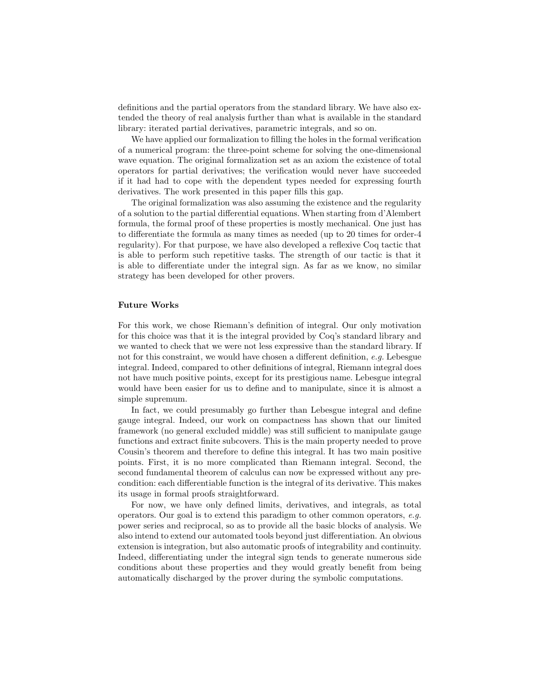definitions and the partial operators from the standard library. We have also extended the theory of real analysis further than what is available in the standard library: iterated partial derivatives, parametric integrals, and so on.

We have applied our formalization to filling the holes in the formal verification of a numerical program: the three-point scheme for solving the one-dimensional wave equation. The original formalization set as an axiom the existence of total operators for partial derivatives; the verification would never have succeeded if it had had to cope with the dependent types needed for expressing fourth derivatives. The work presented in this paper fills this gap.

The original formalization was also assuming the existence and the regularity of a solution to the partial differential equations. When starting from d'Alembert formula, the formal proof of these properties is mostly mechanical. One just has to differentiate the formula as many times as needed (up to 20 times for order-4 regularity). For that purpose, we have also developed a reflexive Coq tactic that is able to perform such repetitive tasks. The strength of our tactic is that it is able to differentiate under the integral sign. As far as we know, no similar strategy has been developed for other provers.

#### Future Works

For this work, we chose Riemann's definition of integral. Our only motivation for this choice was that it is the integral provided by Coq's standard library and we wanted to check that we were not less expressive than the standard library. If not for this constraint, we would have chosen a different definition, e.g. Lebesgue integral. Indeed, compared to other definitions of integral, Riemann integral does not have much positive points, except for its prestigious name. Lebesgue integral would have been easier for us to define and to manipulate, since it is almost a simple supremum.

In fact, we could presumably go further than Lebesgue integral and define gauge integral. Indeed, our work on compactness has shown that our limited framework (no general excluded middle) was still sufficient to manipulate gauge functions and extract finite subcovers. This is the main property needed to prove Cousin's theorem and therefore to define this integral. It has two main positive points. First, it is no more complicated than Riemann integral. Second, the second fundamental theorem of calculus can now be expressed without any precondition: each differentiable function is the integral of its derivative. This makes its usage in formal proofs straightforward.

For now, we have only defined limits, derivatives, and integrals, as total operators. Our goal is to extend this paradigm to other common operators, e.g. power series and reciprocal, so as to provide all the basic blocks of analysis. We also intend to extend our automated tools beyond just differentiation. An obvious extension is integration, but also automatic proofs of integrability and continuity. Indeed, differentiating under the integral sign tends to generate numerous side conditions about these properties and they would greatly benefit from being automatically discharged by the prover during the symbolic computations.